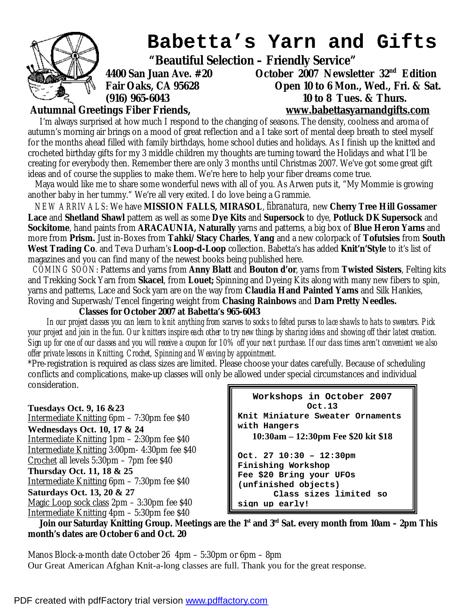

## **Babetta's Yarn and Gifts**

 **"Beautiful Selection – Friendly Service"** 

**4400 San Juan Ave. #20 October 2007 Newsletter 32nd Edition Fair Oaks, CA 95628 Open 10 to 6 Mon., Wed., Fri. & Sat. (916) 965-6043 10 to 8 Tues. & Thurs.** 

**Autumnal Greetings Fiber Friends, [www.babettasyarnandgifts.com](http://www.babettasyarnandgifts.com)**

I'm always surprised at how much I respond to the changing of seasons. The density, coolness and aroma of autumn's morning air brings on a mood of great reflection and a I take sort of mental deep breath to steel myself for the months ahead filled with family birthdays, home school duties and holidays. As I finish up the knitted and crocheted birthday gifts for my 3 middle children my thoughts are turning toward the Holidays and what I'll be creating for everybody then. Remember there are only 3 months until Christmas 2007. We've got some great gift ideas and of course the supplies to make them. We're here to help your fiber dreams come true.

Maya would like me to share some wonderful news with all of you. As Arwen puts it, "My Mommie is growing another baby in her tummy." We're all very exited. I do love being a Grammie.

 *NEW ARRIVALS*: We have **MISSION FALLS, MIRASOL**, *fibranatura,* new **Cherry Tree Hill Gossamer Lace** and **Shetland Shawl** pattern as well as some **Dye Kits** and **Supersock** to dye, **Potluck DK Supersock** and **Sockitome**, hand paints from **ARACAUNIA, Naturally** yarns and patterns, a big box of **Blue Heron Yarns** and more from **Prism.** Just in-Boxes from **Tahki/Stacy Charles**, **Yang** and a new colorpack of **Tofutsies** from **South West Trading Co**. and Teva Durham's **Loop-d-Loop** collection. Babetta's has added **Knit'n'Style** to it's list of magazines and you can find many of the newest books being published here.

 *COMING SOON*: Patterns and yarns from **Anny Blatt** and **Bouton d'or**, yarns from **Twisted Sisters**, Felting kits and Trekking Sock Yarn from **Skacel**, from **Louet;** Spinning and Dyeing Kits along with many new fibers to spin, yarns and patterns, Lace and Sock yarn are on the way from **Claudia Hand Painted Yarns** and Silk Hankies, Roving and Superwash/Tencel fingering weight from **Chasing Rainbows** and **Darn Pretty Needles.**

## **Classes for October 2007 at Babetta's 965-6043**

In our project classes you can learn to knit anything from scarves to socks to felted purses to lace shawls to hats to sweaters. Pick your project and join in the fun. Our knitters inspire each other to try new things by sharing ideas and showing off their latest creation. Sign up for one of our classes and you will receive a coupon for 10% off your next purchase. If our class times aren't convenient we also *offer private lessons in Knitting, Crochet, Spinning and Weaving by appointment.* 

\*Pre-registration is required as class sizes are limited. Please choose your dates carefully. Because of scheduling conflicts and complications, make-up classes will only be allowed under special circumstances and individual consideration.

**Tuesdays Oct. 9, 16 &23**  Intermediate Knitting 6pm – 7:30pm fee \$40 **Wednesdays Oct. 10, 17 & 24**  Intermediate Knitting 1pm – 2:30pm fee \$40 Intermediate Knitting 3:00pm- 4:30pm fee \$40 Crochet all levels 5:30pm – 7pm fee \$40 **Thursday Oct. 11, 18 & 25**  Intermediate Knitting 6pm – 7:30pm fee \$40 **Saturdays Oct. 13, 20 & 27**  Magic Loop sock class 2pm – 3:30pm fee \$40 Intermediate Knitting 4pm – 5:30pm fee \$40

**Workshops in October 2007 Oct.13 Knit Miniature Sweater Ornaments with Hangers 10:30am – 12:30pm Fee \$20 kit \$18 Oct. 27 10:30 – 12:30pm Finishing Workshop Fee \$20 Bring your UFOs (unfinished objects) Class sizes limited so sign up early!**

Join our Saturday Knitting Group. Meetings are the  $1<sup>st</sup>$  and  $3<sup>rd</sup>$  Sat. every month from 10am - 2pm This **month's dates are October 6 and Oct. 20** 

Manos Block-a-month date October 26 4pm – 5:30pm or 6pm – 8pm Our Great American Afghan Knit-a-long classes are full. Thank you for the great response.